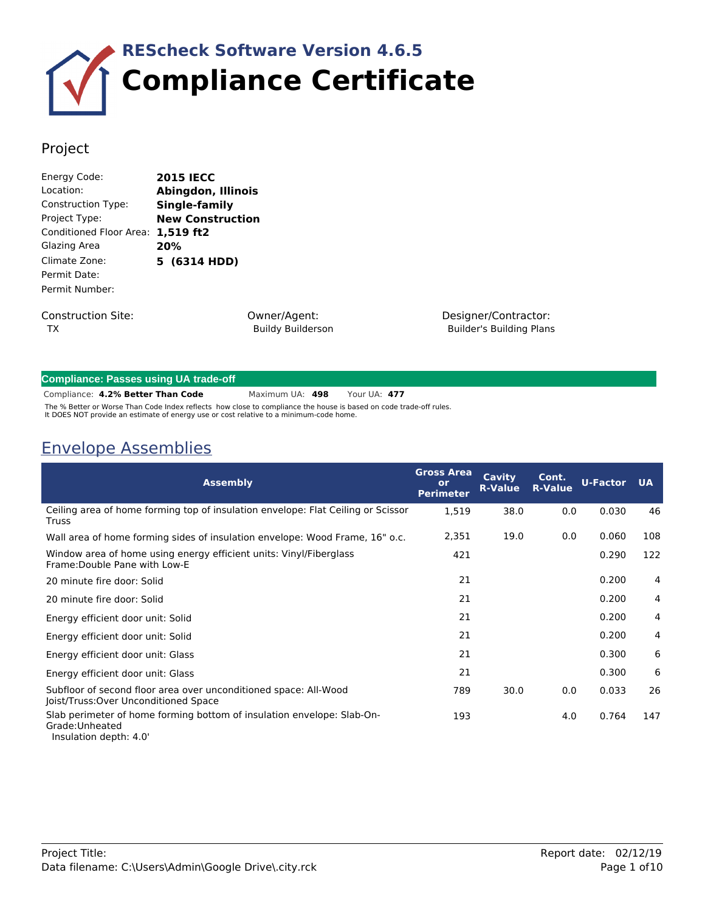

### Project

| Energy Code:              | <b>2015 IECC</b>        |
|---------------------------|-------------------------|
| Location:                 | Abingdon, Illinois      |
| <b>Construction Type:</b> | Single-family           |
| Project Type:             | <b>New Construction</b> |
| Conditioned Floor Area:   | 1,519 ft2               |
| Glazing Area              | 20%                     |
| Climate Zone:             | 5 (6314 HDD)            |
| Permit Date:              |                         |
| Permit Number:            |                         |
|                           |                         |
|                           |                         |

Construction Site: TX

Owner/Agent: Buildy Builderson Designer/Contractor: Builder's Building Plans

| <b>Compliance: Passes using UA trade-off</b> |
|----------------------------------------------|
|----------------------------------------------|

**4.2% Better Than Code** Maximum UA: **498** Your UA: **477** Compliance:

The % Better or Worse Than Code Index reflects how close to compliance the house is based on code trade-off rules.<br>It DOES NOT provide an estimate of energy use or cost relative to a minimum-code home.

### Envelope Assemblies

| <b>Assembly</b>                                                                                                     | <b>Gross Area</b><br>or<br><b>Perimeter</b> | <b>Cavity</b><br><b>R-Value</b> | Cont.<br><b>R-Value</b> | <b>U-Factor</b> | <b>UA</b> |
|---------------------------------------------------------------------------------------------------------------------|---------------------------------------------|---------------------------------|-------------------------|-----------------|-----------|
| Ceiling area of home forming top of insulation envelope: Flat Ceiling or Scissor<br><b>Truss</b>                    | 1,519                                       | 38.0                            | 0.0                     | 0.030           | 46        |
| Wall area of home forming sides of insulation envelope: Wood Frame, 16" o.c.                                        | 2,351                                       | 19.0                            | 0.0                     | 0.060           | 108       |
| Window area of home using energy efficient units: Vinyl/Fiberglass<br>Frame: Double Pane with Low-E                 | 421                                         |                                 |                         | 0.290           | 122       |
| 20 minute fire door: Solid                                                                                          | 21                                          |                                 |                         | 0.200           | 4         |
| 20 minute fire door: Solid                                                                                          | 21                                          |                                 |                         | 0.200           | 4         |
| Energy efficient door unit: Solid                                                                                   | 21                                          |                                 |                         | 0.200           | 4         |
| Energy efficient door unit: Solid                                                                                   | 21                                          |                                 |                         | 0.200           | 4         |
| Energy efficient door unit: Glass                                                                                   | 21                                          |                                 |                         | 0.300           | 6         |
| Energy efficient door unit: Glass                                                                                   | 21                                          |                                 |                         | 0.300           | 6         |
| Subfloor of second floor area over unconditioned space: All-Wood<br>Joist/Truss: Over Unconditioned Space           | 789                                         | 30.0                            | 0.0                     | 0.033           | 26        |
| Slab perimeter of home forming bottom of insulation envelope: Slab-On-<br>Grade: Unheated<br>Insulation depth: 4.0' | 193                                         |                                 | 4.0                     | 0.764           | 147       |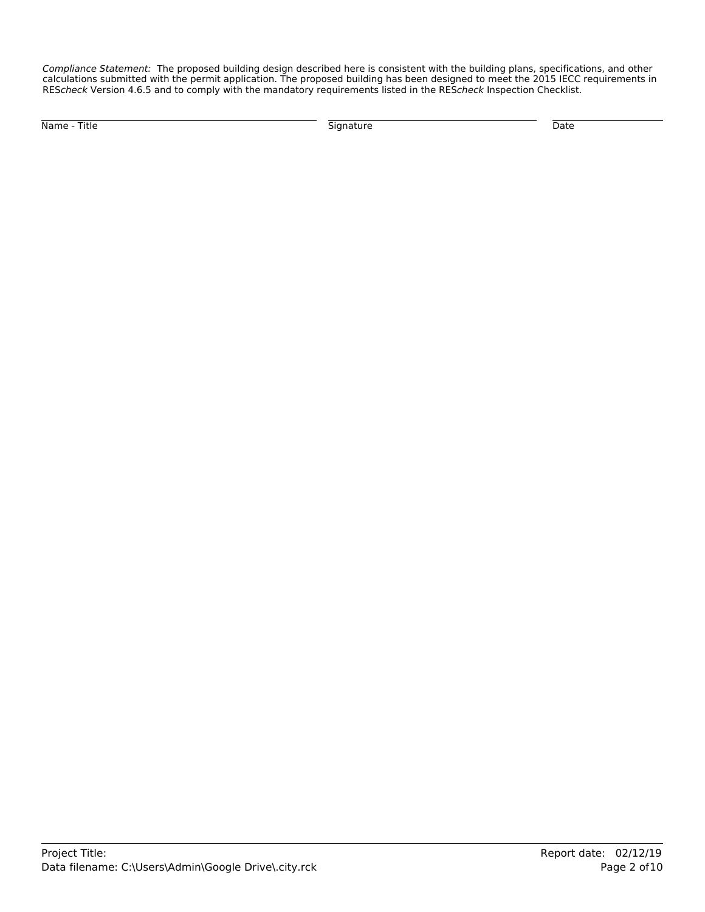*Compliance Statement:* The proposed building design described here is consistent with the building plans, specifications, and other calculations submitted with the permit application. The proposed building has been designed to meet the 2015 IECC requirements in RES*check* Version 4.6.5 and to comply with the mandatory requirements listed in the RES*check* Inspection Checklist.

Name - Title Signature Date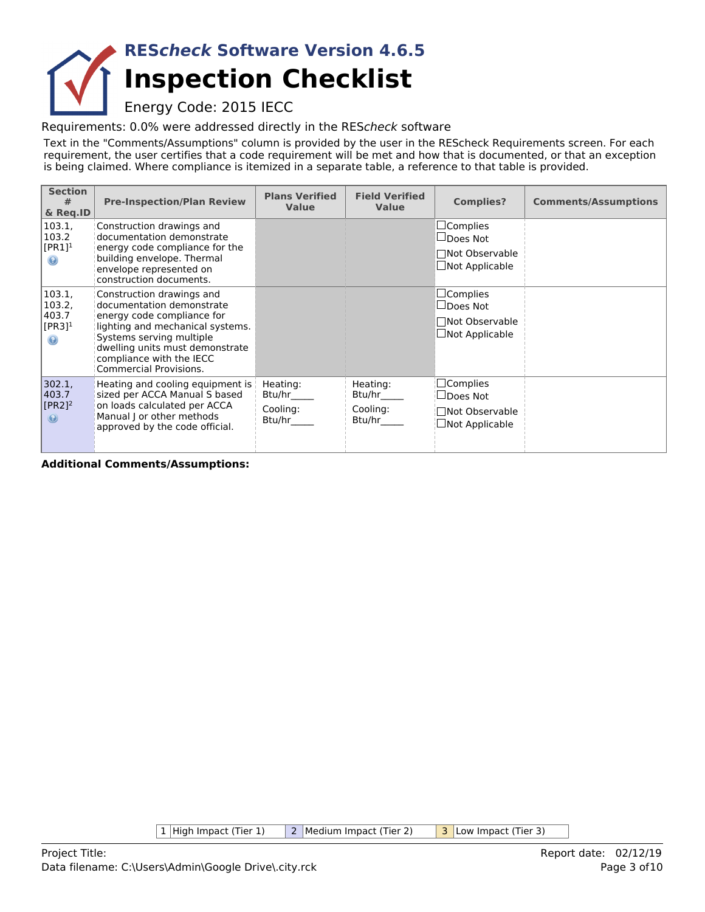## **Inspection Checklist RES***check* **Software Version 4.6.5**

Energy Code: 2015 IECC

Requirements: 0.0% were addressed directly in the RES*check* software

Text in the "Comments/Assumptions" column is provided by the user in the REScheck Requirements screen. For each requirement, the user certifies that a code requirement will be met and how that is documented, or that an exception is being claimed. Where compliance is itemized in a separate table, a reference to that table is provided.

| <b>Section</b><br>#<br>& Reg.ID                                    | <b>Pre-Inspection/Plan Review</b>                                                                                                                                                                                                                    | <b>Plans Verified</b><br><b>Value</b>    | <b>Field Verified</b><br><b>Value</b>    | <b>Complies?</b>                                                                   | <b>Comments/Assumptions</b> |
|--------------------------------------------------------------------|------------------------------------------------------------------------------------------------------------------------------------------------------------------------------------------------------------------------------------------------------|------------------------------------------|------------------------------------------|------------------------------------------------------------------------------------|-----------------------------|
| 103.1,<br>103.2<br>$[PR1]$ <sup>1</sup><br>$\odot$                 | Construction drawings and<br>documentation demonstrate<br>energy code compliance for the<br>building envelope. Thermal<br>envelope represented on<br>construction documents.                                                                         |                                          |                                          | $\Box$ Complies<br>$\Box$ Does Not<br>□Not Observable<br>$\Box$ Not Applicable     |                             |
| 103.1,<br>103.2,<br>403.7<br>$[PR3]$ <sup>1</sup><br>$\circledast$ | Construction drawings and<br>documentation demonstrate<br>energy code compliance for<br>lighting and mechanical systems.<br>Systems serving multiple<br>dwelling units must demonstrate<br>compliance with the IECC<br><b>Commercial Provisions.</b> |                                          |                                          | $\sqcup$ Complies<br>$\Box$ Does Not<br>□Not Observable<br>$\Box$ Not Applicable   |                             |
| 302.1,<br>403.7<br>$[PR2]$ <sup>2</sup><br>$\circledast$           | Heating and cooling equipment is<br>sized per ACCA Manual S based<br>on loads calculated per ACCA<br>Manual J or other methods<br>approved by the code official.                                                                                     | Heating:<br>Btu/hr<br>Cooling:<br>Btu/hr | Heating:<br>Btu/hr<br>Cooling:<br>Btu/hr | $\square$ Complies<br>$\sqcup$ Does Not<br>Not Observable<br>$\Box$ Not Applicable |                             |

**Additional Comments/Assumptions:**

1 High Impact (Tier 1) 2 Medium Impact (Tier 2) 3 Low Impact (Tier 3)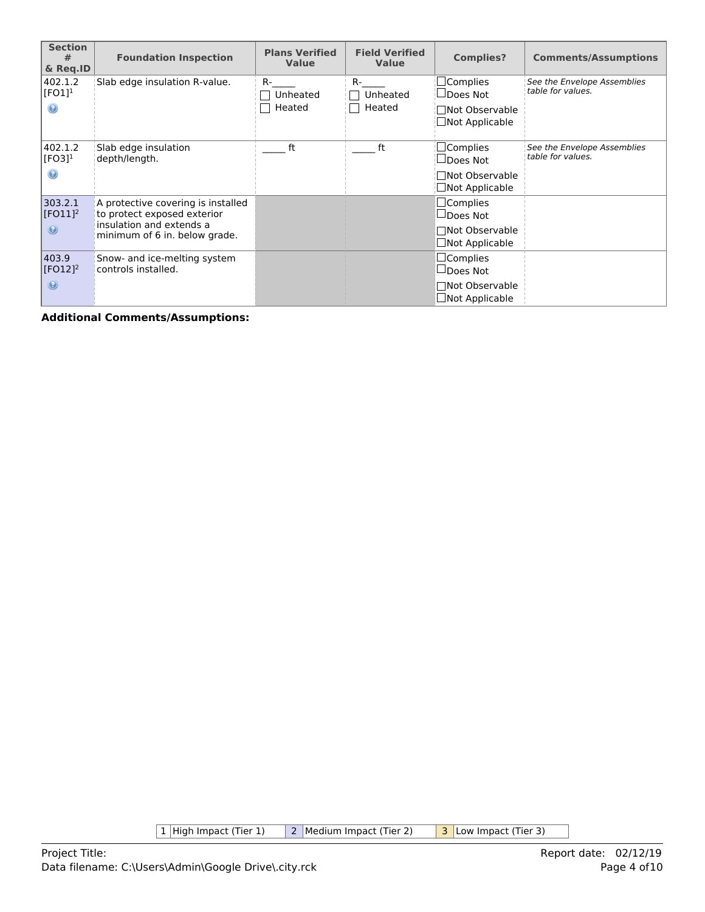| <b>Section</b><br>#<br>& Reg.ID                 | <b>Foundation Inspection</b>                                                                  | <b>Plans Verified</b><br><b>Value</b> | <b>Field Verified</b><br><b>Value</b> | <b>Complies?</b>                                             | <b>Comments/Assumptions</b>                      |
|-------------------------------------------------|-----------------------------------------------------------------------------------------------|---------------------------------------|---------------------------------------|--------------------------------------------------------------|--------------------------------------------------|
| 402.1.2<br>[FO1] <sup>1</sup><br>$\circledcirc$ | Slab edge insulation R-value.                                                                 | R-<br>Unheated<br>Heated              | $R-$<br>Unheated<br>Heated            | $\sqsupset$ Complies<br>$\sqcup$ Does Not<br>□Not Observable | See the Envelope Assemblies<br>table for values. |
|                                                 |                                                                                               |                                       |                                       | Not Applicable                                               |                                                  |
| 402.1.2<br>$[FO3]$ <sup>1</sup>                 | Slab edge insulation<br>depth/length.                                                         | ft                                    | ft                                    | $\Box$ Complies<br>$\sqcup$ Does Not                         | See the Envelope Assemblies<br>table for values. |
| 0                                               |                                                                                               |                                       |                                       | □Not Observable<br>Not Applicable                            |                                                  |
| 303.2.1<br>$[FO11]$ <sup>2</sup>                | A protective covering is installed<br>to protect exposed exterior<br>insulation and extends a |                                       |                                       | $\Box$ Complies<br>$\Box$ Does Not                           |                                                  |
| $\odot$                                         | minimum of 6 in. below grade.                                                                 |                                       |                                       | □Not Observable<br>$\Box$ Not Applicable                     |                                                  |
| 403.9<br>$[FO12]$ <sup>2</sup>                  | Snow- and ice-melting system<br>controls installed.                                           |                                       |                                       | $\square$ Complies<br>$\Box$ Does Not                        |                                                  |
| $\odot$                                         |                                                                                               |                                       |                                       | □Not Observable<br>$\Box$ Not Applicable                     |                                                  |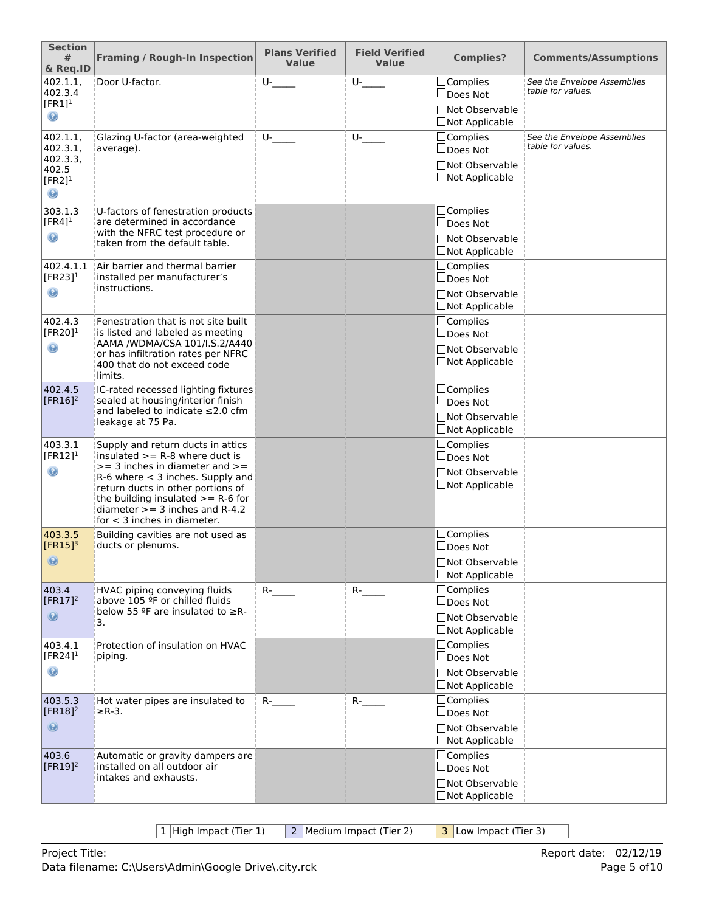| <b>Section</b><br>#<br>& Req.ID                            | <b>Framing / Rough-In Inspection</b>                                                                                                                                                                                                                            | <b>Plans Verified</b><br>Value | <b>Field Verified</b><br><b>Value</b> | <b>Complies?</b>                                               | <b>Comments/Assumptions</b>                      |
|------------------------------------------------------------|-----------------------------------------------------------------------------------------------------------------------------------------------------------------------------------------------------------------------------------------------------------------|--------------------------------|---------------------------------------|----------------------------------------------------------------|--------------------------------------------------|
| 402.1.1,<br>402.3.4                                        | Door U-factor.                                                                                                                                                                                                                                                  | $U$ - $\qquad$                 | $U$ - $\qquad$                        | $\Box$ Complies<br>∐Does Not                                   | See the Envelope Assemblies<br>table for values. |
| $[FR1]^1$<br>$_{\odot}$                                    |                                                                                                                                                                                                                                                                 |                                |                                       | Not Observable<br>□Not Applicable                              |                                                  |
| 402.1.1,<br>402.3.1,                                       | Glazing U-factor (area-weighted<br>average).                                                                                                                                                                                                                    | $U$ -                          | $U$ - $\qquad$                        | $\Box$ Complies<br>∐Does Not                                   | See the Envelope Assemblies<br>table for values. |
| 402.3.3.<br>402.5<br>$[FR2]$ <sup>1</sup><br>$\circledast$ |                                                                                                                                                                                                                                                                 |                                |                                       | □Not Observable<br>□Not Applicable                             |                                                  |
| 303.1.3<br>$[FR4]$ <sup>1</sup>                            | U-factors of fenestration products<br>are determined in accordance                                                                                                                                                                                              |                                |                                       | □Complies<br>$\Box$ Does Not                                   |                                                  |
| $_{\odot}$                                                 | with the NFRC test procedure or<br>taken from the default table.                                                                                                                                                                                                |                                |                                       | <b>Not Observable</b><br>□Not Applicable                       |                                                  |
| 402.4.1.1<br>$[FR23]$ <sup>1</sup>                         | Air barrier and thermal barrier<br>installed per manufacturer's                                                                                                                                                                                                 |                                |                                       | □Complies<br>$\Box$ Does Not                                   |                                                  |
| $\circledast$                                              | instructions.                                                                                                                                                                                                                                                   |                                |                                       | □Not Observable<br>□Not Applicable                             |                                                  |
| 402.4.3<br>[FR20] $1$                                      | Fenestration that is not site built<br>is listed and labeled as meeting                                                                                                                                                                                         |                                |                                       | □Complies<br>□Does Not                                         |                                                  |
| $_{\odot}$                                                 | AAMA /WDMA/CSA 101/I.S.2/A440<br>or has infiltration rates per NFRC<br>400 that do not exceed code<br>limits.                                                                                                                                                   |                                |                                       | □Not Observable<br>□Not Applicable                             |                                                  |
| 402.4.5<br>$[FR16]$ <sup>2</sup>                           | IC-rated recessed lighting fixtures<br>sealed at housing/interior finish<br>and labeled to indicate $\leq$ 2.0 cfm<br>leakage at 75 Pa.                                                                                                                         |                                |                                       | $\Box$ Complies<br>$\Box$ Does Not<br><b>Not Observable</b>    |                                                  |
| 403.3.1                                                    | Supply and return ducts in attics                                                                                                                                                                                                                               |                                |                                       | □Not Applicable<br>$\Box$ Complies                             |                                                  |
| [ $FR12$ ] <sup>1</sup><br>$\circledast$                   | insulated $>=$ R-8 where duct is<br>$>=$ 3 inches in diameter and $>=$<br>$R-6$ where $<$ 3 inches. Supply and<br>return ducts in other portions of<br>the building insulated $>= R-6$ for<br>diameter $>=$ 3 inches and R-4.2<br>for $<$ 3 inches in diameter. |                                |                                       | $\square$ Does Not<br><b>Not Observable</b><br>□Not Applicable |                                                  |
| 403.3.5<br>$[FR15]$ <sup>3</sup>                           | Building cavities are not used as<br>ducts or plenums.                                                                                                                                                                                                          |                                |                                       | $\Box$ Complies<br>□Does Not                                   |                                                  |
| $\circledcirc$                                             |                                                                                                                                                                                                                                                                 |                                |                                       | □Not Observable<br>□Not Applicable                             |                                                  |
| 403.4<br>[ $FR17$ ] <sup>2</sup>                           | HVAC piping conveying fluids<br>above 105 ºF or chilled fluids                                                                                                                                                                                                  | $R$ - $\qquad$                 | $R$ - $\qquad$                        | $\Box$ Complies<br>□Does Not                                   |                                                  |
| $\odot$                                                    | below 55 °F are insulated to $\geq$ R-<br>3.                                                                                                                                                                                                                    |                                |                                       | □Not Observable<br>□Not Applicable                             |                                                  |
| 403.4.1<br>[FR24] $1$                                      | Protection of insulation on HVAC<br>piping.                                                                                                                                                                                                                     |                                |                                       | <b>Complies</b><br>$\Box$ Does Not                             |                                                  |
| $\circledast$                                              |                                                                                                                                                                                                                                                                 |                                |                                       | □Not Observable<br>□Not Applicable                             |                                                  |
| 403.5.3<br>$[FR18]^2$                                      | Hot water pipes are insulated to<br>$\geq$ R-3.                                                                                                                                                                                                                 | $R$ - $\qquad$                 | $R$ - $\qquad$                        | $\Box$ Complies<br>∐Does Not                                   |                                                  |
| $\circledcirc$                                             |                                                                                                                                                                                                                                                                 |                                |                                       | Not Observable<br>□Not Applicable                              |                                                  |
| 403.6<br>[ $FR19$ ] <sup>2</sup>                           | Automatic or gravity dampers are<br>installed on all outdoor air                                                                                                                                                                                                |                                |                                       | □Complies<br>$\Box$ Does Not                                   |                                                  |
|                                                            | intakes and exhausts.                                                                                                                                                                                                                                           |                                |                                       | □Not Observable<br>□Not Applicable                             |                                                  |

1 High Impact (Tier 1) 2 Medium Impact (Tier 2) 3 Low Impact (Tier 3)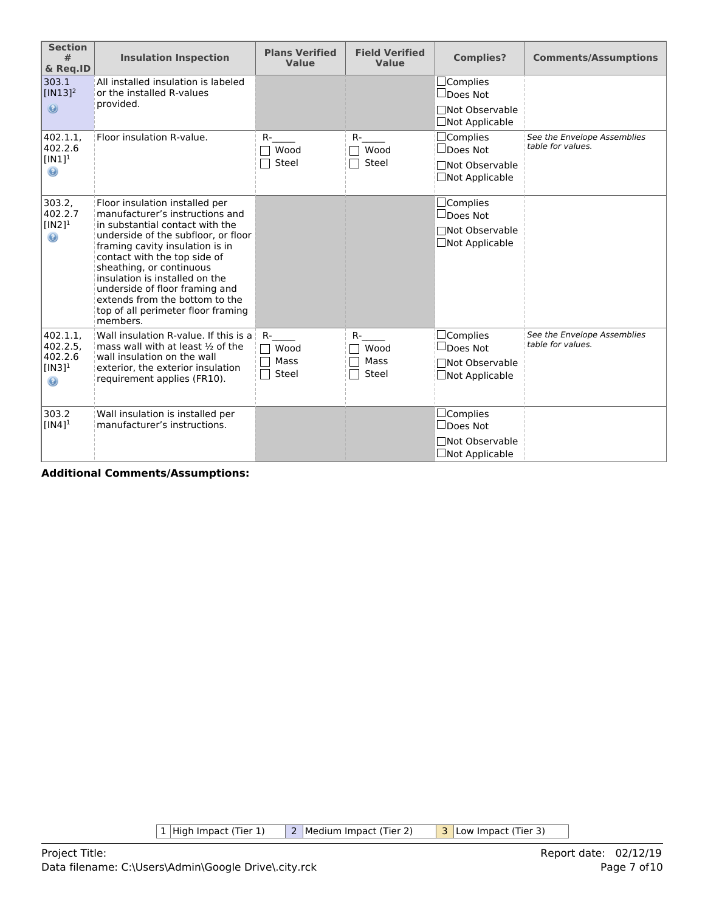| <b>Section</b><br>#<br>& Req.ID                                    | <b>Insulation Inspection</b>                                                                                                                                                                                                                                                                                                                                                                       | <b>Plans Verified</b><br>Value | <b>Field Verified</b><br>Value | <b>Complies?</b>                                                                  | <b>Comments/Assumptions</b>                      |
|--------------------------------------------------------------------|----------------------------------------------------------------------------------------------------------------------------------------------------------------------------------------------------------------------------------------------------------------------------------------------------------------------------------------------------------------------------------------------------|--------------------------------|--------------------------------|-----------------------------------------------------------------------------------|--------------------------------------------------|
| 303.1<br>$[IN13]$ <sup>2</sup><br>$\circledcirc$                   | All installed insulation is labeled<br>or the installed R-values<br>provided.                                                                                                                                                                                                                                                                                                                      |                                |                                | $\Box$ Complies<br>$\Box$ Does Not<br>□Not Observable<br>□Not Applicable          |                                                  |
| 402.1.1,<br>402.2.6<br>$[IN1]$ <sup>1</sup><br>$\odot$             | Floor insulation R-value.                                                                                                                                                                                                                                                                                                                                                                          | R-<br>Wood<br>Steel            | $R-$<br>Wood<br>Steel          | $\Box$ Complies<br>$\Box$ Does Not<br>□Not Observable<br>□Not Applicable          | See the Envelope Assemblies<br>table for values. |
| 303.2,<br>402.2.7<br>$[IN2]$ <sup>1</sup><br>$\odot$               | Floor insulation installed per<br>manufacturer's instructions and<br>in substantial contact with the<br>underside of the subfloor, or floor<br>framing cavity insulation is in<br>contact with the top side of<br>sheathing, or continuous<br>insulation is installed on the<br>underside of floor framing and<br>extends from the bottom to the<br>top of all perimeter floor framing<br>members. |                                |                                | $\Box$ Complies<br>$\Box$ Does Not<br>□Not Observable<br>$\Box$ Not Applicable    |                                                  |
| 402.1.1.<br>402.2.5.<br>402.2.6<br>$[IN3]$ <sup>1</sup><br>$\odot$ | Wall insulation R-value. If this is a<br>mass wall with at least $\frac{1}{2}$ of the<br>wall insulation on the wall<br>exterior, the exterior insulation<br>requirement applies (FR10).                                                                                                                                                                                                           | R-<br>Wood<br>Mass<br>Steel    | $R-$<br>Wood<br>Mass<br>Steel  | $\Box$ Complies<br>$\sqcup$ Does Not<br>Not Observable<br>$\Box$ Not Applicable   | See the Envelope Assemblies<br>table for values. |
| 303.2<br>$[IN4]$ <sup>1</sup>                                      | Wall insulation is installed per<br>manufacturer's instructions.                                                                                                                                                                                                                                                                                                                                   |                                |                                | $\square$ Complies<br>$\Box$ Does Not<br>□Not Observable<br>$\Box$ Not Applicable |                                                  |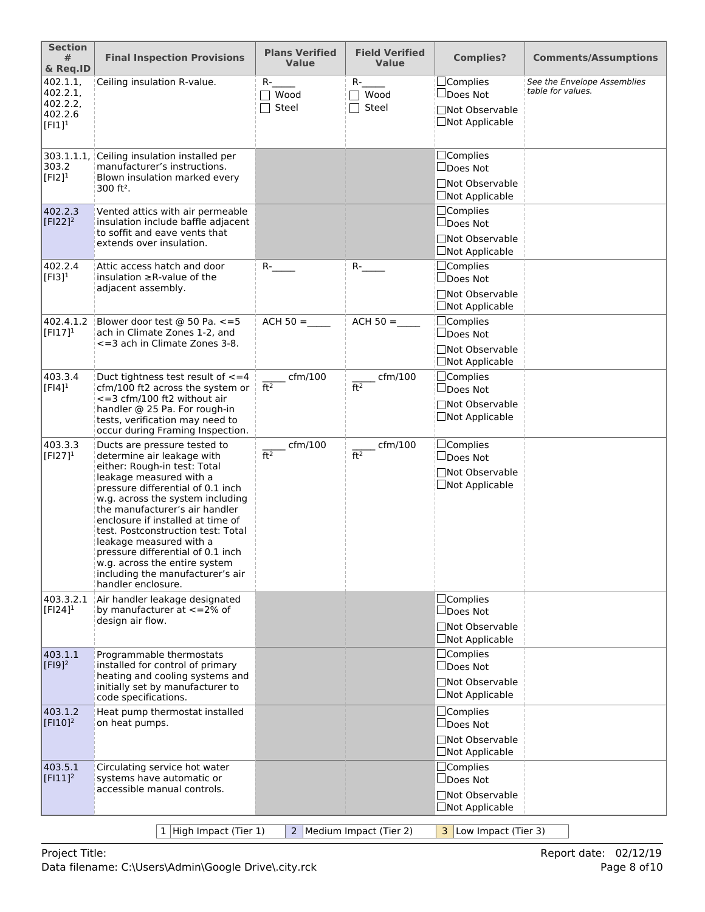| <b>Section</b><br>#<br>& Req.ID                          | <b>Final Inspection Provisions</b>                                                                                                                                                                                                                                                                                                                                                                                                                                     | <b>Plans Verified</b><br><b>Value</b> | <b>Field Verified</b><br><b>Value</b> | <b>Complies?</b>                                                                | <b>Comments/Assumptions</b>                      |
|----------------------------------------------------------|------------------------------------------------------------------------------------------------------------------------------------------------------------------------------------------------------------------------------------------------------------------------------------------------------------------------------------------------------------------------------------------------------------------------------------------------------------------------|---------------------------------------|---------------------------------------|---------------------------------------------------------------------------------|--------------------------------------------------|
| 402.1.1,<br>402.2.1<br>402.2.2,<br>402.2.6<br>$[FI]^{1}$ | Ceiling insulation R-value.                                                                                                                                                                                                                                                                                                                                                                                                                                            | $R-$<br>$\top$ Wood<br>Steel          | $R-$<br>$\sqcap$ Wood<br>Steel        | □Complies<br>□Does Not<br>□Not Observable<br>□Not Applicable                    | See the Envelope Assemblies<br>table for values. |
| 303.1.1.1<br>303.2<br>$[F12]$ <sup>1</sup>               | Ceiling insulation installed per<br>manufacturer's instructions.<br>Blown insulation marked every<br>$300$ ft <sup>2</sup> .                                                                                                                                                                                                                                                                                                                                           |                                       |                                       | $\Box$ Complies<br>$\Box$ Does Not<br>□Not Observable<br>$\Box$ Not Applicable  |                                                  |
| 402.2.3<br>$[F122]^2$                                    | Vented attics with air permeable<br>insulation include baffle adjacent<br>to soffit and eave vents that<br>extends over insulation.                                                                                                                                                                                                                                                                                                                                    |                                       |                                       | □Complies<br>$\Box$ Does Not<br>□Not Observable<br>$\Box$ Not Applicable        |                                                  |
| 402.2.4<br>$[F13]$ <sup>1</sup>                          | Attic access hatch and door<br>insulation $\geq$ R-value of the<br>adjacent assembly.                                                                                                                                                                                                                                                                                                                                                                                  | $R$ - $\qquad$                        | $R$ -                                 | $\Box$ Complies<br>$\Box$ Does Not<br>□Not Observable<br>□Not Applicable        |                                                  |
| 402.4.1.2<br>$[FI17]^{1}$                                | Blower door test @ 50 Pa. <= 5<br>ach in Climate Zones 1-2, and<br><= 3 ach in Climate Zones 3-8.                                                                                                                                                                                                                                                                                                                                                                      | $ACH 50 =$                            | $ACH 50 =$                            | $\Box$ Complies<br>□Does Not<br><b>Not Observable</b><br><b>□Not Applicable</b> |                                                  |
| 403.3.4<br>$[FI4]$ <sup>1</sup>                          | Duct tightness test result of $\leq$ = 4<br>cfm/100 ft2 across the system or<br><= 3 cfm/100 ft2 without air<br>handler @ 25 Pa. For rough-in<br>tests, verification may need to<br>occur during Framing Inspection.                                                                                                                                                                                                                                                   | $c$ fm/100<br>ft <sup>2</sup>         | $\_$ cfm/100<br>ft <sup>2</sup>       | $\Box$ Complies<br>$\Box$ Does Not<br>□Not Observable<br>$\Box$ Not Applicable  |                                                  |
| 403.3.3<br>$[FI27]^{1}$                                  | Ducts are pressure tested to<br>determine air leakage with<br>either: Rough-in test: Total<br>leakage measured with a<br>pressure differential of 0.1 inch<br>w.g. across the system including<br>the manufacturer's air handler<br>enclosure if installed at time of<br>test. Postconstruction test: Total<br>leakage measured with a<br>pressure differential of 0.1 inch<br>w.g. across the entire system<br>including the manufacturer's air<br>handler enclosure. | cfm/100<br>ft <sup>2</sup>            | cfm/100<br>ft <sup>2</sup>            | $\Box$ Complies<br>□Does Not<br><b>Not Observable</b><br>□Not Applicable        |                                                  |
| 403.3.2.1<br>$[FI24]$ <sup>1</sup>                       | Air handler leakage designated<br>by manufacturer at $\lt$ =2% of<br>design air flow.                                                                                                                                                                                                                                                                                                                                                                                  |                                       |                                       | □Complies<br>$\Box$ Does Not<br>□Not Observable<br>$\Box$ Not Applicable        |                                                  |
| 403.1.1<br>$[F19]^{2}$                                   | Programmable thermostats<br>installed for control of primary<br>heating and cooling systems and<br>initially set by manufacturer to<br>code specifications.                                                                                                                                                                                                                                                                                                            |                                       |                                       | □Complies<br>$\square$ Does Not<br>□Not Observable<br>$\Box$ Not Applicable     |                                                  |
| 403.1.2<br>$[$ FI10] <sup>2</sup>                        | Heat pump thermostat installed<br>on heat pumps.                                                                                                                                                                                                                                                                                                                                                                                                                       |                                       |                                       | $\Box$ Complies<br>$\Box$ Does Not<br>□Not Observable<br>$\Box$ Not Applicable  |                                                  |
| 403.5.1<br>$[F111]^2$                                    | Circulating service hot water<br>systems have automatic or<br>accessible manual controls.                                                                                                                                                                                                                                                                                                                                                                              |                                       |                                       | $\Box$ Complies<br>$\Box$ Does Not<br>□Not Observable<br>$\Box$ Not Applicable  |                                                  |
|                                                          | 1 High Impact (Tier 1)                                                                                                                                                                                                                                                                                                                                                                                                                                                 |                                       | 2 Medium Impact (Tier 2)              | 3 Low Impact (Tier 3)                                                           |                                                  |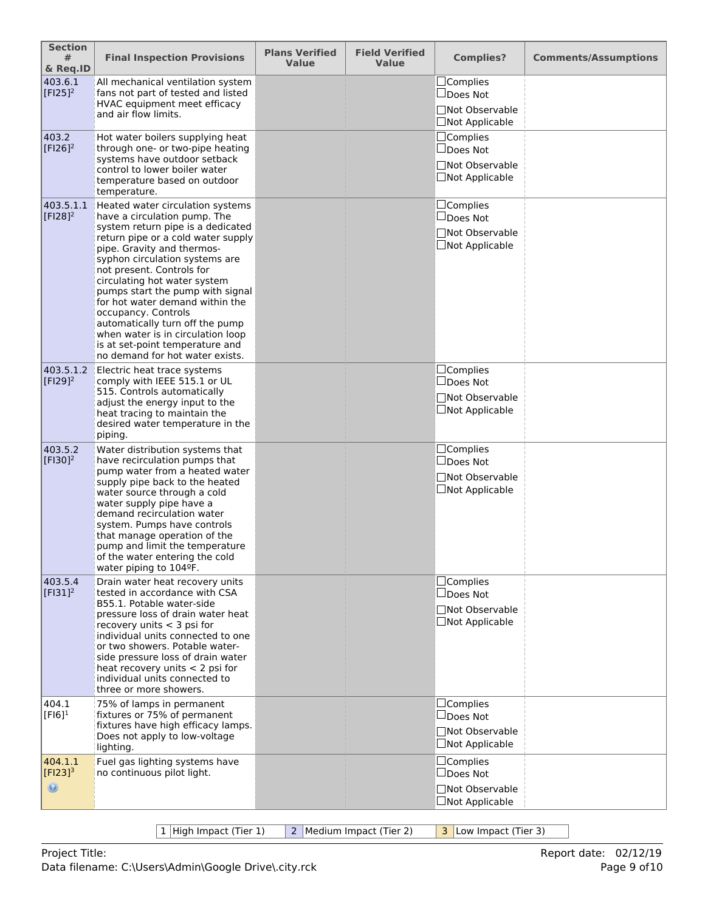| <b>Section</b><br>#<br>& Req.ID           | <b>Final Inspection Provisions</b>                                                                                                                                                                                                                                                                                                                                                                                                                                                                                   | <b>Plans Verified</b><br><b>Value</b> | <b>Field Verified</b><br><b>Value</b> | <b>Complies?</b>                                                               | <b>Comments/Assumptions</b> |
|-------------------------------------------|----------------------------------------------------------------------------------------------------------------------------------------------------------------------------------------------------------------------------------------------------------------------------------------------------------------------------------------------------------------------------------------------------------------------------------------------------------------------------------------------------------------------|---------------------------------------|---------------------------------------|--------------------------------------------------------------------------------|-----------------------------|
| 403.6.1<br>$[$ F125]^{2}                  | All mechanical ventilation system<br>fans not part of tested and listed<br>HVAC equipment meet efficacy<br>and air flow limits.                                                                                                                                                                                                                                                                                                                                                                                      |                                       |                                       | $\Box$ Complies<br>$\Box$ Does Not<br>□Not Observable<br>$\Box$ Not Applicable |                             |
| 403.2<br>$[F126]^{2}$                     | Hot water boilers supplying heat<br>through one- or two-pipe heating<br>systems have outdoor setback<br>control to lower boiler water<br>temperature based on outdoor<br>temperature.                                                                                                                                                                                                                                                                                                                                |                                       |                                       | $\Box$ Complies<br>$\Box$ Does Not<br>□Not Observable<br>□Not Applicable       |                             |
| 403.5.1.1<br>$[F128]^{2}$                 | Heated water circulation systems<br>have a circulation pump. The<br>system return pipe is a dedicated<br>return pipe or a cold water supply<br>pipe. Gravity and thermos-<br>syphon circulation systems are<br>not present. Controls for<br>circulating hot water system<br>pumps start the pump with signal<br>for hot water demand within the<br>occupancy. Controls<br>automatically turn off the pump<br>when water is in circulation loop<br>is at set-point temperature and<br>no demand for hot water exists. |                                       |                                       | □Complies<br>$\square$ Does Not<br>□Not Observable<br>$\Box$ Not Applicable    |                             |
| 403.5.1.2<br>$[F129]^{2}$                 | Electric heat trace systems<br>comply with IEEE 515.1 or UL<br>515. Controls automatically<br>adjust the energy input to the<br>heat tracing to maintain the<br>desired water temperature in the<br>piping.                                                                                                                                                                                                                                                                                                          |                                       |                                       | $\Box$ Complies<br>$\Box$ Does Not<br>□Not Observable<br>$\Box$ Not Applicable |                             |
| 403.5.2<br>$[F130]^{2}$                   | Water distribution systems that<br>have recirculation pumps that<br>pump water from a heated water<br>supply pipe back to the heated<br>water source through a cold<br>water supply pipe have a<br>demand recirculation water<br>system. Pumps have controls<br>that manage operation of the<br>pump and limit the temperature<br>of the water entering the cold<br>water piping to 104ºF.                                                                                                                           |                                       |                                       | $\Box$ Complies<br>$\Box$ Does Not<br>□Not Observable<br>$\Box$ Not Applicable |                             |
| 403.5.4<br>$[F131]^2$                     | Drain water heat recovery units<br>tested in accordance with CSA<br>B55.1. Potable water-side<br>pressure loss of drain water heat<br>recovery units $<$ 3 psi for<br>individual units connected to one<br>or two showers. Potable water-<br>side pressure loss of drain water<br>heat recovery units $<$ 2 psi for<br>individual units connected to<br>three or more showers.                                                                                                                                       |                                       |                                       | $\Box$ Complies<br>$\Box$ Does Not<br>□Not Observable<br>$\Box$ Not Applicable |                             |
| 404.1<br>$[F16]$ <sup>1</sup>             | 75% of lamps in permanent<br>fixtures or 75% of permanent<br>fixtures have high efficacy lamps.<br>Does not apply to low-voltage<br>lighting.                                                                                                                                                                                                                                                                                                                                                                        |                                       |                                       | $\Box$ Complies<br>$\Box$ Does Not<br>□Not Observable<br>□Not Applicable       |                             |
| 404.1.1<br>$[Fl23]^{3}$<br>$\circledcirc$ | Fuel gas lighting systems have<br>no continuous pilot light.                                                                                                                                                                                                                                                                                                                                                                                                                                                         |                                       |                                       | $\Box$ Complies<br>$\Box$ Does Not<br>□Not Observable<br>$\Box$ Not Applicable |                             |

1 High Impact (Tier 1) 2 Medium Impact (Tier 2) 3 Low Impact (Tier 3)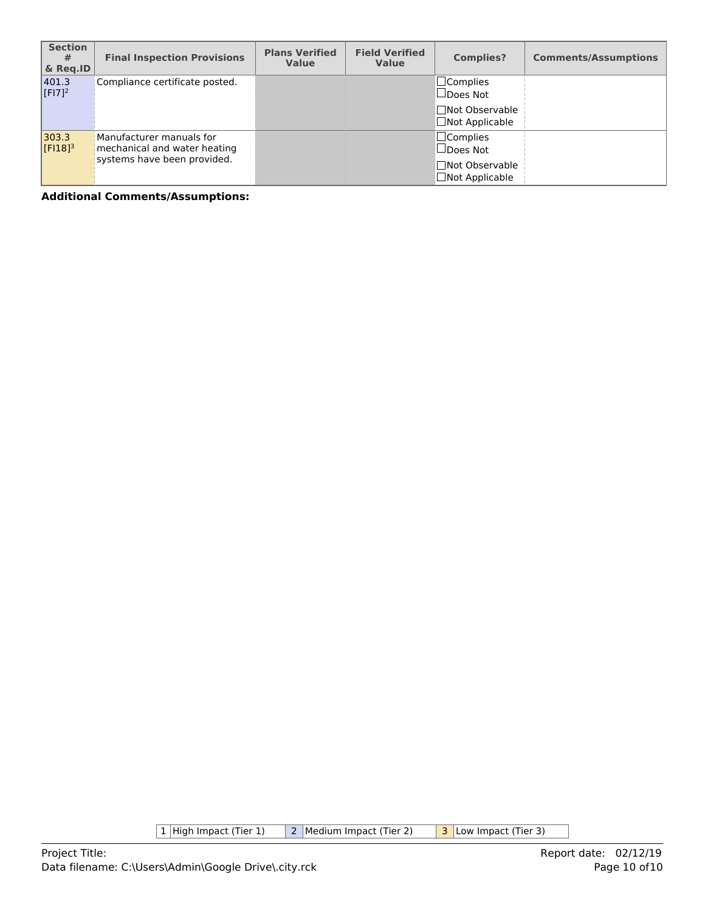| <b>Section</b><br>#<br>& Reg.ID | <b>Final Inspection Provisions</b>                                                      | <b>Plans Verified</b><br><b>Value</b> | <b>Field Verified</b><br><b>Value</b> | <b>Complies?</b>                                                                  | <b>Comments/Assumptions</b> |
|---------------------------------|-----------------------------------------------------------------------------------------|---------------------------------------|---------------------------------------|-----------------------------------------------------------------------------------|-----------------------------|
| 401.3<br>$[F17]^{2}$            | Compliance certificate posted.                                                          |                                       |                                       | $\square$ Complies<br>$\Box$ Does Not<br>□Not Observable<br>$\Box$ Not Applicable |                             |
| 303.3<br>$[F18]$ <sup>3</sup>   | Manufacturer manuals for<br>mechanical and water heating<br>systems have been provided. |                                       |                                       | $\Box$ Complies<br>$\Box$ Does Not<br>□Not Observable<br>$\Box$ Not Applicable    |                             |